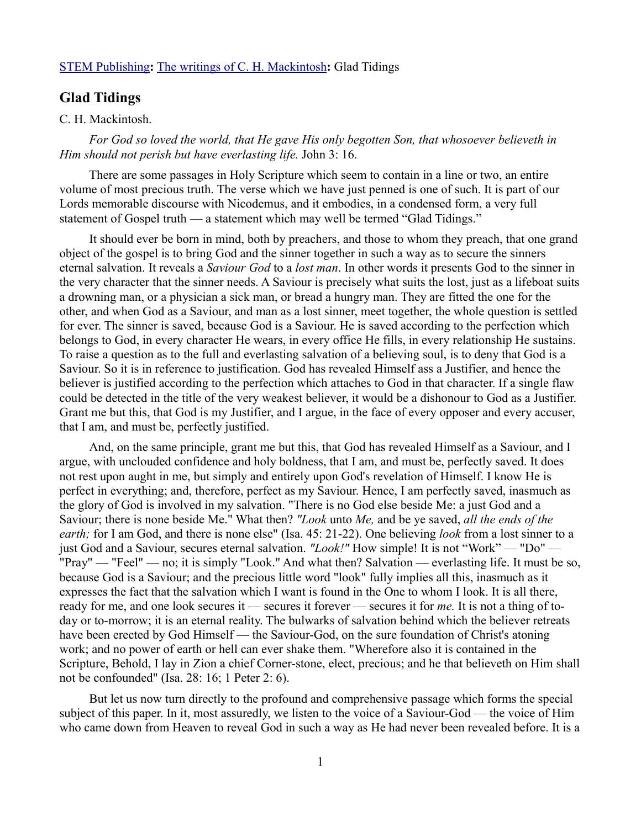## [STEM Publishing](http://www.stempublishing.com/)**:** [The writings of C. H. Mackintosh](http://www.stempublishing.com/authors/mackintosh/index.html)**:** Glad Tidings

## **Glad Tidings**

## C. H. Mackintosh.

*For God so loved the world, that He gave His only begotten Son, that whosoever believeth in Him should not perish but have everlasting life.* John 3: 16.

There are some passages in Holy Scripture which seem to contain in a line or two, an entire volume of most precious truth. The verse which we have just penned is one of such. It is part of our Lords memorable discourse with Nicodemus, and it embodies, in a condensed form, a very full statement of Gospel truth — a statement which may well be termed "Glad Tidings."

It should ever be born in mind, both by preachers, and those to whom they preach, that one grand object of the gospel is to bring God and the sinner together in such a way as to secure the sinners eternal salvation. It reveals a *Saviour God* to a *lost man*. In other words it presents God to the sinner in the very character that the sinner needs. A Saviour is precisely what suits the lost, just as a lifeboat suits a drowning man, or a physician a sick man, or bread a hungry man. They are fitted the one for the other, and when God as a Saviour, and man as a lost sinner, meet together, the whole question is settled for ever. The sinner is saved, because God is a Saviour. He is saved according to the perfection which belongs to God, in every character He wears, in every office He fills, in every relationship He sustains. To raise a question as to the full and everlasting salvation of a believing soul, is to deny that God is a Saviour. So it is in reference to justification. God has revealed Himself ass a Justifier, and hence the believer is justified according to the perfection which attaches to God in that character. If a single flaw could be detected in the title of the very weakest believer, it would be a dishonour to God as a Justifier. Grant me but this, that God is my Justifier, and I argue, in the face of every opposer and every accuser, that I am, and must be, perfectly justified.

And, on the same principle, grant me but this, that God has revealed Himself as a Saviour, and I argue, with unclouded confidence and holy boldness, that I am, and must be, perfectly saved. It does not rest upon aught in me, but simply and entirely upon God's revelation of Himself. I know He is perfect in everything; and, therefore, perfect as my Saviour. Hence, I am perfectly saved, inasmuch as the glory of God is involved in my salvation. "There is no God else beside Me: a just God and a Saviour; there is none beside Me." What then? *"Look* unto *Me,* and be ye saved, *all the ends of the earth;* for I am God, and there is none else" (Isa. 45: 21-22). One believing *look* from a lost sinner to a just God and a Saviour, secures eternal salvation. *"Look!"* How simple! It is not "Work" — "Do" — "Pray" — "Feel" — no; it is simply "Look." And what then? Salvation — everlasting life. It must be so, because God is a Saviour; and the precious little word "look" fully implies all this, inasmuch as it expresses the fact that the salvation which I want is found in the One to whom I look. It is all there, ready for me, and one look secures it — secures it forever — secures it for *me.* It is not a thing of today or to-morrow; it is an eternal reality. The bulwarks of salvation behind which the believer retreats have been erected by God Himself — the Saviour-God, on the sure foundation of Christ's atoning work; and no power of earth or hell can ever shake them. "Wherefore also it is contained in the Scripture, Behold, I lay in Zion a chief Corner-stone, elect, precious; and he that believeth on Him shall not be confounded" (Isa. 28: 16; 1 Peter 2: 6).

But let us now turn directly to the profound and comprehensive passage which forms the special subject of this paper. In it, most assuredly, we listen to the voice of a Saviour-God — the voice of Him who came down from Heaven to reveal God in such a way as He had never been revealed before. It is a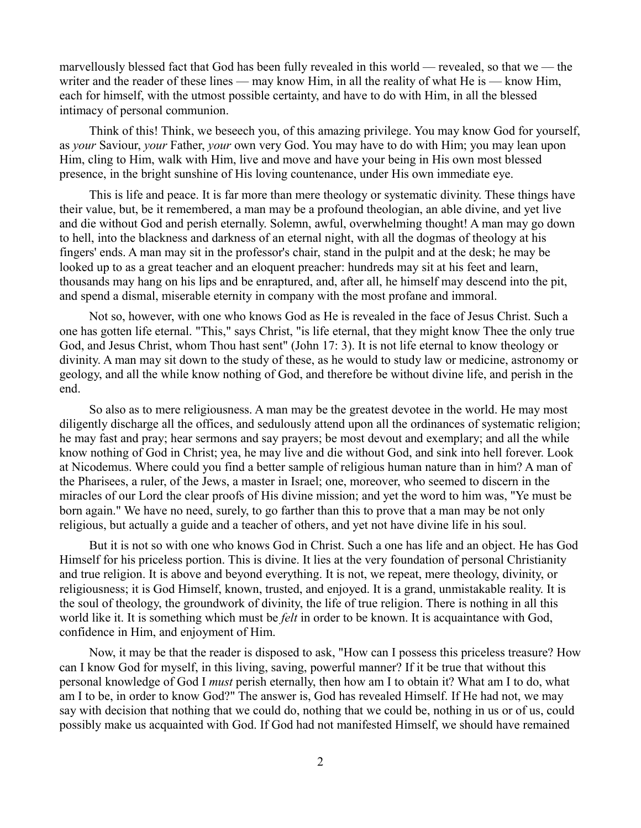marvellously blessed fact that God has been fully revealed in this world — revealed, so that we — the writer and the reader of these lines — may know Him, in all the reality of what He is — know Him, each for himself, with the utmost possible certainty, and have to do with Him, in all the blessed intimacy of personal communion.

Think of this! Think, we beseech you, of this amazing privilege. You may know God for yourself, as *your* Saviour, *your* Father, *your* own very God. You may have to do with Him; you may lean upon Him, cling to Him, walk with Him, live and move and have your being in His own most blessed presence, in the bright sunshine of His loving countenance, under His own immediate eye.

This is life and peace. It is far more than mere theology or systematic divinity. These things have their value, but, be it remembered, a man may be a profound theologian, an able divine, and yet live and die without God and perish eternally. Solemn, awful, overwhelming thought! A man may go down to hell, into the blackness and darkness of an eternal night, with all the dogmas of theology at his fingers' ends. A man may sit in the professor's chair, stand in the pulpit and at the desk; he may be looked up to as a great teacher and an eloquent preacher: hundreds may sit at his feet and learn, thousands may hang on his lips and be enraptured, and, after all, he himself may descend into the pit, and spend a dismal, miserable eternity in company with the most profane and immoral.

Not so, however, with one who knows God as He is revealed in the face of Jesus Christ. Such a one has gotten life eternal. "This," says Christ, "is life eternal, that they might know Thee the only true God, and Jesus Christ, whom Thou hast sent" (John 17: 3). It is not life eternal to know theology or divinity. A man may sit down to the study of these, as he would to study law or medicine, astronomy or geology, and all the while know nothing of God, and therefore be without divine life, and perish in the end.

So also as to mere religiousness. A man may be the greatest devotee in the world. He may most diligently discharge all the offices, and sedulously attend upon all the ordinances of systematic religion; he may fast and pray; hear sermons and say prayers; be most devout and exemplary; and all the while know nothing of God in Christ; yea, he may live and die without God, and sink into hell forever. Look at Nicodemus. Where could you find a better sample of religious human nature than in him? A man of the Pharisees, a ruler, of the Jews, a master in Israel; one, moreover, who seemed to discern in the miracles of our Lord the clear proofs of His divine mission; and yet the word to him was, "Ye must be born again." We have no need, surely, to go farther than this to prove that a man may be not only religious, but actually a guide and a teacher of others, and yet not have divine life in his soul.

But it is not so with one who knows God in Christ. Such a one has life and an object. He has God Himself for his priceless portion. This is divine. It lies at the very foundation of personal Christianity and true religion. It is above and beyond everything. It is not, we repeat, mere theology, divinity, or religiousness; it is God Himself, known, trusted, and enjoyed. It is a grand, unmistakable reality. It is the soul of theology, the groundwork of divinity, the life of true religion. There is nothing in all this world like it. It is something which must be *felt* in order to be known. It is acquaintance with God, confidence in Him, and enjoyment of Him.

Now, it may be that the reader is disposed to ask, "How can I possess this priceless treasure? How can I know God for myself, in this living, saving, powerful manner? If it be true that without this personal knowledge of God I *must* perish eternally, then how am I to obtain it? What am I to do, what am I to be, in order to know God?" The answer is, God has revealed Himself. If He had not, we may say with decision that nothing that we could do, nothing that we could be, nothing in us or of us, could possibly make us acquainted with God. If God had not manifested Himself, we should have remained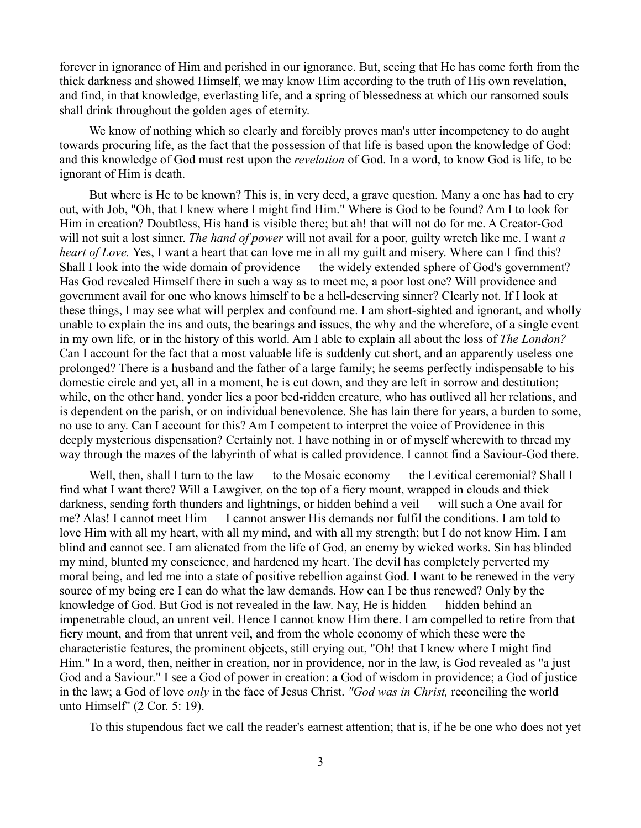forever in ignorance of Him and perished in our ignorance. But, seeing that He has come forth from the thick darkness and showed Himself, we may know Him according to the truth of His own revelation, and find, in that knowledge, everlasting life, and a spring of blessedness at which our ransomed souls shall drink throughout the golden ages of eternity.

We know of nothing which so clearly and forcibly proves man's utter incompetency to do aught towards procuring life, as the fact that the possession of that life is based upon the knowledge of God: and this knowledge of God must rest upon the *revelation* of God. In a word, to know God is life, to be ignorant of Him is death.

But where is He to be known? This is, in very deed, a grave question. Many a one has had to cry out, with Job, "Oh, that I knew where I might find Him." Where is God to be found? Am I to look for Him in creation? Doubtless, His hand is visible there; but ah! that will not do for me. A Creator-God will not suit a lost sinner. *The hand of power* will not avail for a poor, guilty wretch like me. I want *a heart of Love.* Yes, I want a heart that can love me in all my guilt and misery. Where can I find this? Shall I look into the wide domain of providence — the widely extended sphere of God's government? Has God revealed Himself there in such a way as to meet me, a poor lost one? Will providence and government avail for one who knows himself to be a hell-deserving sinner? Clearly not. If I look at these things, I may see what will perplex and confound me. I am short-sighted and ignorant, and wholly unable to explain the ins and outs, the bearings and issues, the why and the wherefore, of a single event in my own life, or in the history of this world. Am I able to explain all about the loss of *The London?* Can I account for the fact that a most valuable life is suddenly cut short, and an apparently useless one prolonged? There is a husband and the father of a large family; he seems perfectly indispensable to his domestic circle and yet, all in a moment, he is cut down, and they are left in sorrow and destitution; while, on the other hand, yonder lies a poor bed-ridden creature, who has outlived all her relations, and is dependent on the parish, or on individual benevolence. She has lain there for years, a burden to some, no use to any. Can I account for this? Am I competent to interpret the voice of Providence in this deeply mysterious dispensation? Certainly not. I have nothing in or of myself wherewith to thread my way through the mazes of the labyrinth of what is called providence. I cannot find a Saviour-God there.

Well, then, shall I turn to the law — to the Mosaic economy — the Levitical ceremonial? Shall I find what I want there? Will a Lawgiver, on the top of a fiery mount, wrapped in clouds and thick darkness, sending forth thunders and lightnings, or hidden behind a veil — will such a One avail for me? Alas! I cannot meet Him — I cannot answer His demands nor fulfil the conditions. I am told to love Him with all my heart, with all my mind, and with all my strength; but I do not know Him. I am blind and cannot see. I am alienated from the life of God, an enemy by wicked works. Sin has blinded my mind, blunted my conscience, and hardened my heart. The devil has completely perverted my moral being, and led me into a state of positive rebellion against God. I want to be renewed in the very source of my being ere I can do what the law demands. How can I be thus renewed? Only by the knowledge of God. But God is not revealed in the law. Nay, He is hidden — hidden behind an impenetrable cloud, an unrent veil. Hence I cannot know Him there. I am compelled to retire from that fiery mount, and from that unrent veil, and from the whole economy of which these were the characteristic features, the prominent objects, still crying out, "Oh! that I knew where I might find Him." In a word, then, neither in creation, nor in providence, nor in the law, is God revealed as "a just God and a Saviour." I see a God of power in creation: a God of wisdom in providence; a God of justice in the law; a God of love *only* in the face of Jesus Christ. *"God was in Christ,* reconciling the world unto Himself" (2 Cor. 5: 19).

To this stupendous fact we call the reader's earnest attention; that is, if he be one who does not yet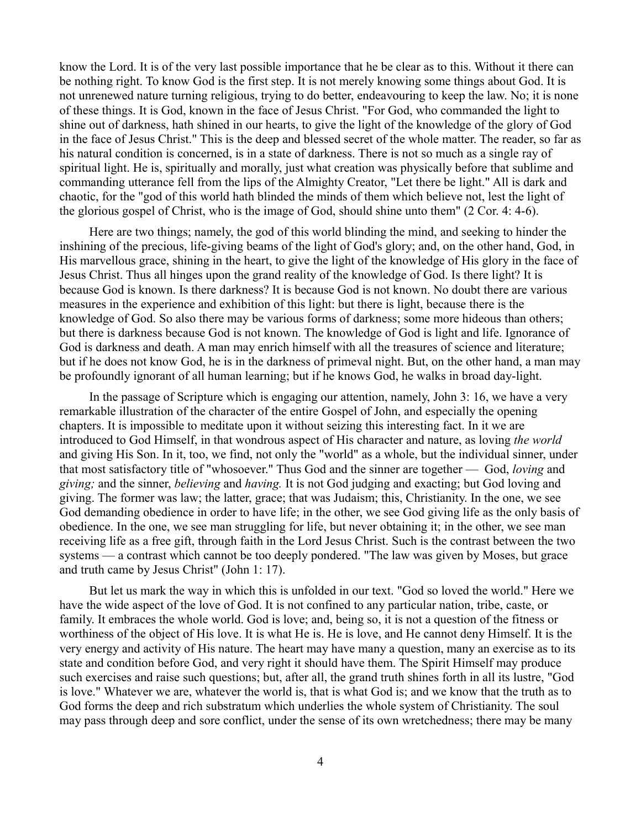know the Lord. It is of the very last possible importance that he be clear as to this. Without it there can be nothing right. To know God is the first step. It is not merely knowing some things about God. It is not unrenewed nature turning religious, trying to do better, endeavouring to keep the law. No; it is none of these things. It is God, known in the face of Jesus Christ. "For God, who commanded the light to shine out of darkness, hath shined in our hearts, to give the light of the knowledge of the glory of God in the face of Jesus Christ." This is the deep and blessed secret of the whole matter. The reader, so far as his natural condition is concerned, is in a state of darkness. There is not so much as a single ray of spiritual light. He is, spiritually and morally, just what creation was physically before that sublime and commanding utterance fell from the lips of the Almighty Creator, "Let there be light." All is dark and chaotic, for the "god of this world hath blinded the minds of them which believe not, lest the light of the glorious gospel of Christ, who is the image of God, should shine unto them" (2 Cor. 4: 4-6).

Here are two things; namely, the god of this world blinding the mind, and seeking to hinder the inshining of the precious, life-giving beams of the light of God's glory; and, on the other hand, God, in His marvellous grace, shining in the heart, to give the light of the knowledge of His glory in the face of Jesus Christ. Thus all hinges upon the grand reality of the knowledge of God. Is there light? It is because God is known. Is there darkness? It is because God is not known. No doubt there are various measures in the experience and exhibition of this light: but there is light, because there is the knowledge of God. So also there may be various forms of darkness; some more hideous than others; but there is darkness because God is not known. The knowledge of God is light and life. Ignorance of God is darkness and death. A man may enrich himself with all the treasures of science and literature; but if he does not know God, he is in the darkness of primeval night. But, on the other hand, a man may be profoundly ignorant of all human learning; but if he knows God, he walks in broad day-light.

In the passage of Scripture which is engaging our attention, namely, John 3: 16, we have a very remarkable illustration of the character of the entire Gospel of John, and especially the opening chapters. It is impossible to meditate upon it without seizing this interesting fact. In it we are introduced to God Himself, in that wondrous aspect of His character and nature, as loving *the world* and giving His Son. In it, too, we find, not only the "world" as a whole, but the individual sinner, under that most satisfactory title of "whosoever." Thus God and the sinner are together — God, *loving* and *giving;* and the sinner, *believing* and *having.* It is not God judging and exacting; but God loving and giving. The former was law; the latter, grace; that was Judaism; this, Christianity. In the one, we see God demanding obedience in order to have life; in the other, we see God giving life as the only basis of obedience. In the one, we see man struggling for life, but never obtaining it; in the other, we see man receiving life as a free gift, through faith in the Lord Jesus Christ. Such is the contrast between the two systems — a contrast which cannot be too deeply pondered. "The law was given by Moses, but grace and truth came by Jesus Christ" (John 1: 17).

But let us mark the way in which this is unfolded in our text. "God so loved the world." Here we have the wide aspect of the love of God. It is not confined to any particular nation, tribe, caste, or family. It embraces the whole world. God is love; and, being so, it is not a question of the fitness or worthiness of the object of His love. It is what He is. He is love, and He cannot deny Himself. It is the very energy and activity of His nature. The heart may have many a question, many an exercise as to its state and condition before God, and very right it should have them. The Spirit Himself may produce such exercises and raise such questions; but, after all, the grand truth shines forth in all its lustre, "God is love." Whatever we are, whatever the world is, that is what God is; and we know that the truth as to God forms the deep and rich substratum which underlies the whole system of Christianity. The soul may pass through deep and sore conflict, under the sense of its own wretchedness; there may be many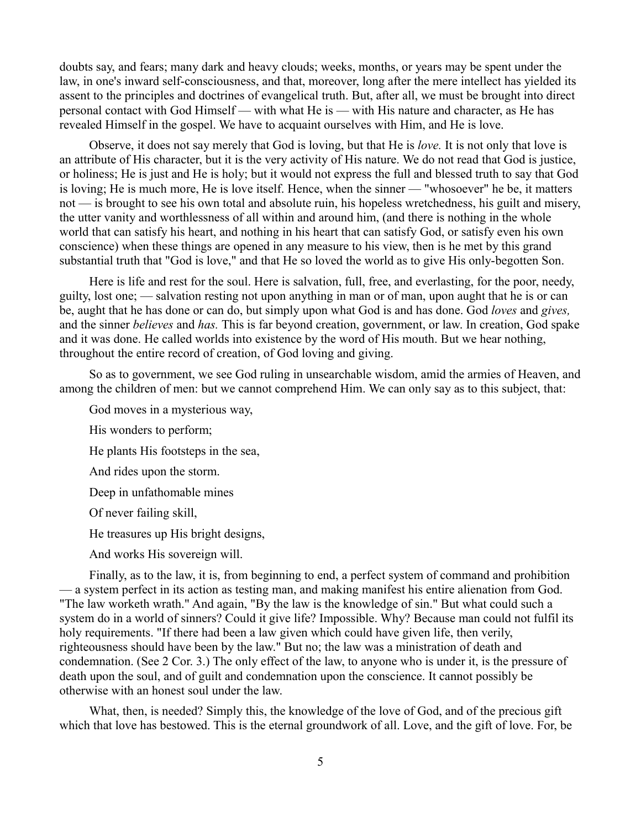doubts say, and fears; many dark and heavy clouds; weeks, months, or years may be spent under the law, in one's inward self-consciousness, and that, moreover, long after the mere intellect has yielded its assent to the principles and doctrines of evangelical truth. But, after all, we must be brought into direct personal contact with God Himself — with what He is — with His nature and character, as He has revealed Himself in the gospel. We have to acquaint ourselves with Him, and He is love.

Observe, it does not say merely that God is loving, but that He is *love.* It is not only that love is an attribute of His character, but it is the very activity of His nature. We do not read that God is justice, or holiness; He is just and He is holy; but it would not express the full and blessed truth to say that God is loving; He is much more, He is love itself. Hence, when the sinner — "whosoever" he be, it matters not — is brought to see his own total and absolute ruin, his hopeless wretchedness, his guilt and misery, the utter vanity and worthlessness of all within and around him, (and there is nothing in the whole world that can satisfy his heart, and nothing in his heart that can satisfy God, or satisfy even his own conscience) when these things are opened in any measure to his view, then is he met by this grand substantial truth that "God is love," and that He so loved the world as to give His only-begotten Son.

Here is life and rest for the soul. Here is salvation, full, free, and everlasting, for the poor, needy, guilty, lost one; — salvation resting not upon anything in man or of man, upon aught that he is or can be, aught that he has done or can do, but simply upon what God is and has done. God *loves* and *gives,* and the sinner *believes* and *has.* This is far beyond creation, government, or law. In creation, God spake and it was done. He called worlds into existence by the word of His mouth. But we hear nothing, throughout the entire record of creation, of God loving and giving.

So as to government, we see God ruling in unsearchable wisdom, amid the armies of Heaven, and among the children of men: but we cannot comprehend Him. We can only say as to this subject, that:

God moves in a mysterious way,

His wonders to perform;

He plants His footsteps in the sea,

And rides upon the storm.

Deep in unfathomable mines

Of never failing skill,

He treasures up His bright designs,

And works His sovereign will.

Finally, as to the law, it is, from beginning to end, a perfect system of command and prohibition — a system perfect in its action as testing man, and making manifest his entire alienation from God. "The law worketh wrath." And again, "By the law is the knowledge of sin." But what could such a system do in a world of sinners? Could it give life? Impossible. Why? Because man could not fulfil its holy requirements. "If there had been a law given which could have given life, then verily, righteousness should have been by the law." But no; the law was a ministration of death and condemnation. (See 2 Cor. 3.) The only effect of the law, to anyone who is under it, is the pressure of death upon the soul, and of guilt and condemnation upon the conscience. It cannot possibly be otherwise with an honest soul under the law.

What, then, is needed? Simply this, the knowledge of the love of God, and of the precious gift which that love has bestowed. This is the eternal groundwork of all. Love, and the gift of love. For, be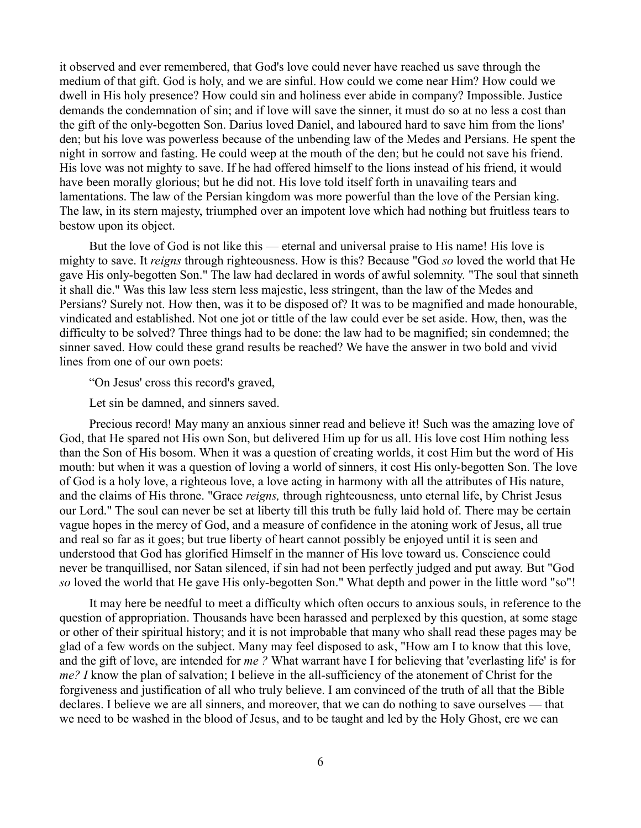it observed and ever remembered, that God's love could never have reached us save through the medium of that gift. God is holy, and we are sinful. How could we come near Him? How could we dwell in His holy presence? How could sin and holiness ever abide in company? Impossible. Justice demands the condemnation of sin; and if love will save the sinner, it must do so at no less a cost than the gift of the only-begotten Son. Darius loved Daniel, and laboured hard to save him from the lions' den; but his love was powerless because of the unbending law of the Medes and Persians. He spent the night in sorrow and fasting. He could weep at the mouth of the den; but he could not save his friend. His love was not mighty to save. If he had offered himself to the lions instead of his friend, it would have been morally glorious; but he did not. His love told itself forth in unavailing tears and lamentations. The law of the Persian kingdom was more powerful than the love of the Persian king. The law, in its stern majesty, triumphed over an impotent love which had nothing but fruitless tears to bestow upon its object.

But the love of God is not like this — eternal and universal praise to His name! His love is mighty to save. It *reigns* through righteousness. How is this? Because "God *so* loved the world that He gave His only-begotten Son." The law had declared in words of awful solemnity. "The soul that sinneth it shall die." Was this law less stern less majestic, less stringent, than the law of the Medes and Persians? Surely not. How then, was it to be disposed of? It was to be magnified and made honourable, vindicated and established. Not one jot or tittle of the law could ever be set aside. How, then, was the difficulty to be solved? Three things had to be done: the law had to be magnified; sin condemned; the sinner saved. How could these grand results be reached? We have the answer in two bold and vivid lines from one of our own poets:

"On Jesus' cross this record's graved,

Let sin be damned, and sinners saved.

Precious record! May many an anxious sinner read and believe it! Such was the amazing love of God, that He spared not His own Son, but delivered Him up for us all. His love cost Him nothing less than the Son of His bosom. When it was a question of creating worlds, it cost Him but the word of His mouth: but when it was a question of loving a world of sinners, it cost His only-begotten Son. The love of God is a holy love, a righteous love, a love acting in harmony with all the attributes of His nature, and the claims of His throne. "Grace *reigns,* through righteousness, unto eternal life, by Christ Jesus our Lord." The soul can never be set at liberty till this truth be fully laid hold of. There may be certain vague hopes in the mercy of God, and a measure of confidence in the atoning work of Jesus, all true and real so far as it goes; but true liberty of heart cannot possibly be enjoyed until it is seen and understood that God has glorified Himself in the manner of His love toward us. Conscience could never be tranquillised, nor Satan silenced, if sin had not been perfectly judged and put away. But "God *so* loved the world that He gave His only-begotten Son." What depth and power in the little word "so"!

It may here be needful to meet a difficulty which often occurs to anxious souls, in reference to the question of appropriation. Thousands have been harassed and perplexed by this question, at some stage or other of their spiritual history; and it is not improbable that many who shall read these pages may be glad of a few words on the subject. Many may feel disposed to ask, "How am I to know that this love, and the gift of love, are intended for *me ?* What warrant have I for believing that 'everlasting life' is for *me? I* know the plan of salvation; I believe in the all-sufficiency of the atonement of Christ for the forgiveness and justification of all who truly believe. I am convinced of the truth of all that the Bible declares. I believe we are all sinners, and moreover, that we can do nothing to save ourselves — that we need to be washed in the blood of Jesus, and to be taught and led by the Holy Ghost, ere we can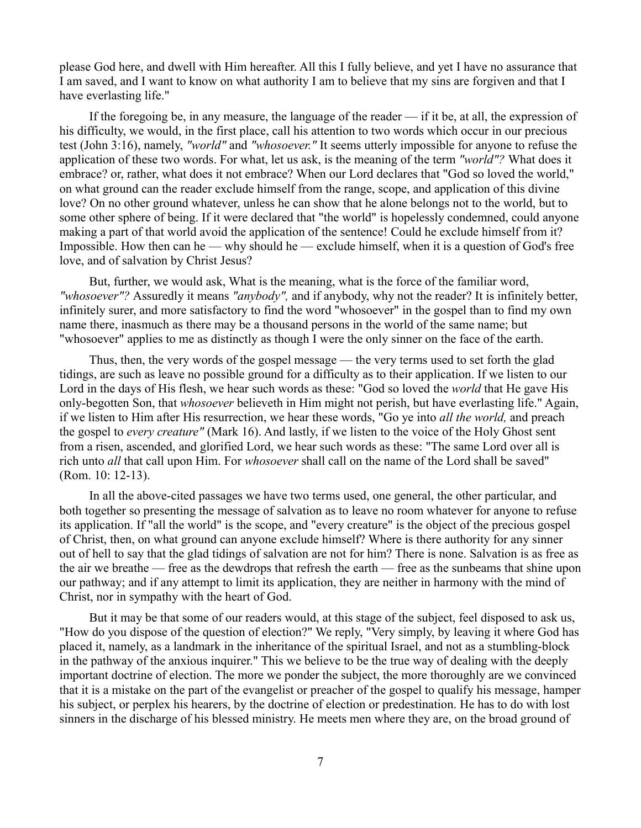please God here, and dwell with Him hereafter. All this I fully believe, and yet I have no assurance that I am saved, and I want to know on what authority I am to believe that my sins are forgiven and that I have everlasting life."

If the foregoing be, in any measure, the language of the reader — if it be, at all, the expression of his difficulty, we would, in the first place, call his attention to two words which occur in our precious test (John 3:16), namely, *"world"* and *"whosoever."* It seems utterly impossible for anyone to refuse the application of these two words. For what, let us ask, is the meaning of the term *"world"?* What does it embrace? or, rather, what does it not embrace? When our Lord declares that "God so loved the world," on what ground can the reader exclude himself from the range, scope, and application of this divine love? On no other ground whatever, unless he can show that he alone belongs not to the world, but to some other sphere of being. If it were declared that "the world" is hopelessly condemned, could anyone making a part of that world avoid the application of the sentence! Could he exclude himself from it? Impossible. How then can he — why should he — exclude himself, when it is a question of God's free love, and of salvation by Christ Jesus?

But, further, we would ask, What is the meaning, what is the force of the familiar word, *"whosoever"?* Assuredly it means *"anybody",* and if anybody, why not the reader? It is infinitely better, infinitely surer, and more satisfactory to find the word "whosoever" in the gospel than to find my own name there, inasmuch as there may be a thousand persons in the world of the same name; but "whosoever" applies to me as distinctly as though I were the only sinner on the face of the earth.

Thus, then, the very words of the gospel message — the very terms used to set forth the glad tidings, are such as leave no possible ground for a difficulty as to their application. If we listen to our Lord in the days of His flesh, we hear such words as these: "God so loved the *world* that He gave His only-begotten Son, that *whosoever* believeth in Him might not perish, but have everlasting life." Again, if we listen to Him after His resurrection, we hear these words, "Go ye into *all the world,* and preach the gospel to *every creature"* (Mark 16). And lastly, if we listen to the voice of the Holy Ghost sent from a risen, ascended, and glorified Lord, we hear such words as these: "The same Lord over all is rich unto *all* that call upon Him. For *whosoever* shall call on the name of the Lord shall be saved" (Rom. 10: 12-13).

In all the above-cited passages we have two terms used, one general, the other particular, and both together so presenting the message of salvation as to leave no room whatever for anyone to refuse its application. If "all the world" is the scope, and "every creature" is the object of the precious gospel of Christ, then, on what ground can anyone exclude himself? Where is there authority for any sinner out of hell to say that the glad tidings of salvation are not for him? There is none. Salvation is as free as the air we breathe — free as the dewdrops that refresh the earth — free as the sunbeams that shine upon our pathway; and if any attempt to limit its application, they are neither in harmony with the mind of Christ, nor in sympathy with the heart of God.

But it may be that some of our readers would, at this stage of the subject, feel disposed to ask us, "How do you dispose of the question of election?" We reply, "Very simply, by leaving it where God has placed it, namely, as a landmark in the inheritance of the spiritual Israel, and not as a stumbling-block in the pathway of the anxious inquirer." This we believe to be the true way of dealing with the deeply important doctrine of election. The more we ponder the subject, the more thoroughly are we convinced that it is a mistake on the part of the evangelist or preacher of the gospel to qualify his message, hamper his subject, or perplex his hearers, by the doctrine of election or predestination. He has to do with lost sinners in the discharge of his blessed ministry. He meets men where they are, on the broad ground of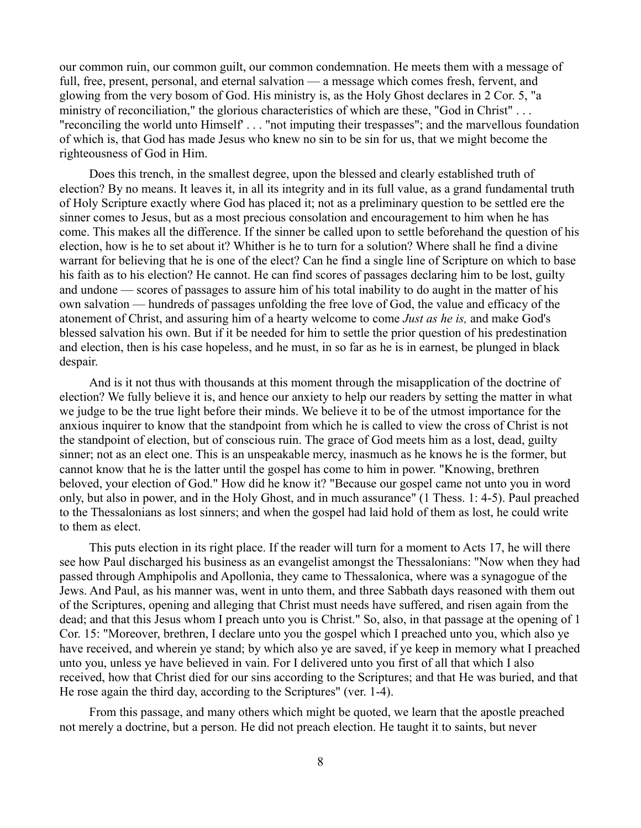our common ruin, our common guilt, our common condemnation. He meets them with a message of full, free, present, personal, and eternal salvation — a message which comes fresh, fervent, and glowing from the very bosom of God. His ministry is, as the Holy Ghost declares in 2 Cor. 5, "a ministry of reconciliation," the glorious characteristics of which are these, "God in Christ" ... "reconciling the world unto Himself' . . . "not imputing their trespasses"; and the marvellous foundation of which is, that God has made Jesus who knew no sin to be sin for us, that we might become the righteousness of God in Him.

Does this trench, in the smallest degree, upon the blessed and clearly established truth of election? By no means. It leaves it, in all its integrity and in its full value, as a grand fundamental truth of Holy Scripture exactly where God has placed it; not as a preliminary question to be settled ere the sinner comes to Jesus, but as a most precious consolation and encouragement to him when he has come. This makes all the difference. If the sinner be called upon to settle beforehand the question of his election, how is he to set about it? Whither is he to turn for a solution? Where shall he find a divine warrant for believing that he is one of the elect? Can he find a single line of Scripture on which to base his faith as to his election? He cannot. He can find scores of passages declaring him to be lost, guilty and undone — scores of passages to assure him of his total inability to do aught in the matter of his own salvation — hundreds of passages unfolding the free love of God, the value and efficacy of the atonement of Christ, and assuring him of a hearty welcome to come *Just as he is,* and make God's blessed salvation his own. But if it be needed for him to settle the prior question of his predestination and election, then is his case hopeless, and he must, in so far as he is in earnest, be plunged in black despair.

And is it not thus with thousands at this moment through the misapplication of the doctrine of election? We fully believe it is, and hence our anxiety to help our readers by setting the matter in what we judge to be the true light before their minds. We believe it to be of the utmost importance for the anxious inquirer to know that the standpoint from which he is called to view the cross of Christ is not the standpoint of election, but of conscious ruin. The grace of God meets him as a lost, dead, guilty sinner; not as an elect one. This is an unspeakable mercy, inasmuch as he knows he is the former, but cannot know that he is the latter until the gospel has come to him in power. "Knowing, brethren beloved, your election of God." How did he know it? "Because our gospel came not unto you in word only, but also in power, and in the Holy Ghost, and in much assurance" (1 Thess. 1: 4-5). Paul preached to the Thessalonians as lost sinners; and when the gospel had laid hold of them as lost, he could write to them as elect.

This puts election in its right place. If the reader will turn for a moment to Acts 17, he will there see how Paul discharged his business as an evangelist amongst the Thessalonians: "Now when they had passed through Amphipolis and Apollonia, they came to Thessalonica, where was a synagogue of the Jews. And Paul, as his manner was, went in unto them, and three Sabbath days reasoned with them out of the Scriptures, opening and alleging that Christ must needs have suffered, and risen again from the dead; and that this Jesus whom I preach unto you is Christ." So, also, in that passage at the opening of 1 Cor. 15: "Moreover, brethren, I declare unto you the gospel which I preached unto you, which also ye have received, and wherein ye stand; by which also ye are saved, if ye keep in memory what I preached unto you, unless ye have believed in vain. For I delivered unto you first of all that which I also received, how that Christ died for our sins according to the Scriptures; and that He was buried, and that He rose again the third day, according to the Scriptures" (ver. 1-4).

From this passage, and many others which might be quoted, we learn that the apostle preached not merely a doctrine, but a person. He did not preach election. He taught it to saints, but never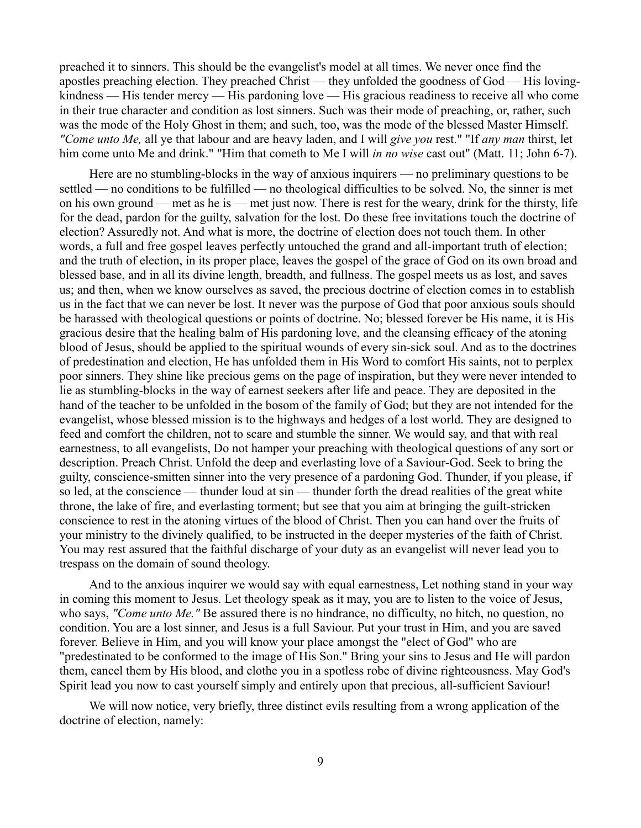preached it to sinners. This should be the evangelist's model at all times. We never once find the apostles preaching election. They preached Christ — they unfolded the goodness of God — His lovingkindness — His tender mercy — His pardoning love — His gracious readiness to receive all who come in their true character and condition as lost sinners. Such was their mode of preaching, or, rather, such was the mode of the Holy Ghost in them; and such, too, was the mode of the blessed Master Himself. *"Come unto Me,* all ye that labour and are heavy laden, and I will *give you* rest." "If *any man* thirst, let him come unto Me and drink." "Him that cometh to Me I will *in no wise* cast out" (Matt. 11; John 6-7).

Here are no stumbling-blocks in the way of anxious inquirers — no preliminary questions to be settled — no conditions to be fulfilled — no theological difficulties to be solved. No, the sinner is met on his own ground — met as he is — met just now. There is rest for the weary, drink for the thirsty, life for the dead, pardon for the guilty, salvation for the lost. Do these free invitations touch the doctrine of election? Assuredly not. And what is more, the doctrine of election does not touch them. In other words, a full and free gospel leaves perfectly untouched the grand and all-important truth of election; and the truth of election, in its proper place, leaves the gospel of the grace of God on its own broad and blessed base, and in all its divine length, breadth, and fullness. The gospel meets us as lost, and saves us; and then, when we know ourselves as saved, the precious doctrine of election comes in to establish us in the fact that we can never be lost. It never was the purpose of God that poor anxious souls should be harassed with theological questions or points of doctrine. No; blessed forever be His name, it is His gracious desire that the healing balm of His pardoning love, and the cleansing efficacy of the atoning blood of Jesus, should be applied to the spiritual wounds of every sin-sick soul. And as to the doctrines of predestination and election, He has unfolded them in His Word to comfort His saints, not to perplex poor sinners. They shine like precious gems on the page of inspiration, but they were never intended to lie as stumbling-blocks in the way of earnest seekers after life and peace. They are deposited in the hand of the teacher to be unfolded in the bosom of the family of God; but they are not intended for the evangelist, whose blessed mission is to the highways and hedges of a lost world. They are designed to feed and comfort the children, not to scare and stumble the sinner. We would say, and that with real earnestness, to all evangelists, Do not hamper your preaching with theological questions of any sort or description. Preach Christ. Unfold the deep and everlasting love of a Saviour-God. Seek to bring the guilty, conscience-smitten sinner into the very presence of a pardoning God. Thunder, if you please, if so led, at the conscience — thunder loud at sin — thunder forth the dread realities of the great white throne, the lake of fire, and everlasting torment; but see that you aim at bringing the guilt-stricken conscience to rest in the atoning virtues of the blood of Christ. Then you can hand over the fruits of your ministry to the divinely qualified, to be instructed in the deeper mysteries of the faith of Christ. You may rest assured that the faithful discharge of your duty as an evangelist will never lead you to trespass on the domain of sound theology.

And to the anxious inquirer we would say with equal earnestness, Let nothing stand in your way in coming this moment to Jesus. Let theology speak as it may, you are to listen to the voice of Jesus, who says, *"Come unto Me."* Be assured there is no hindrance, no difficulty, no hitch, no question, no condition. You are a lost sinner, and Jesus is a full Saviour. Put your trust in Him, and you are saved forever. Believe in Him, and you will know your place amongst the "elect of God" who are "predestinated to be conformed to the image of His Son." Bring your sins to Jesus and He will pardon them, cancel them by His blood, and clothe you in a spotless robe of divine righteousness. May God's Spirit lead you now to cast yourself simply and entirely upon that precious, all-sufficient Saviour!

We will now notice, very briefly, three distinct evils resulting from a wrong application of the doctrine of election, namely: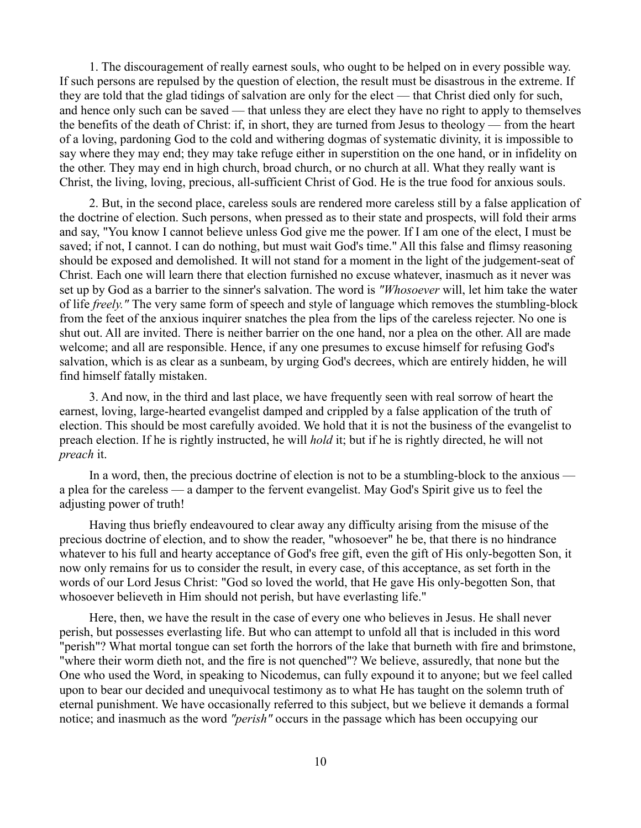1. The discouragement of really earnest souls, who ought to be helped on in every possible way. If such persons are repulsed by the question of election, the result must be disastrous in the extreme. If they are told that the glad tidings of salvation are only for the elect — that Christ died only for such, and hence only such can be saved — that unless they are elect they have no right to apply to themselves the benefits of the death of Christ: if, in short, they are turned from Jesus to theology — from the heart of a loving, pardoning God to the cold and withering dogmas of systematic divinity, it is impossible to say where they may end; they may take refuge either in superstition on the one hand, or in infidelity on the other. They may end in high church, broad church, or no church at all. What they really want is Christ, the living, loving, precious, all-sufficient Christ of God. He is the true food for anxious souls.

2. But, in the second place, careless souls are rendered more careless still by a false application of the doctrine of election. Such persons, when pressed as to their state and prospects, will fold their arms and say, "You know I cannot believe unless God give me the power. If I am one of the elect, I must be saved; if not, I cannot. I can do nothing, but must wait God's time." All this false and flimsy reasoning should be exposed and demolished. It will not stand for a moment in the light of the judgement-seat of Christ. Each one will learn there that election furnished no excuse whatever, inasmuch as it never was set up by God as a barrier to the sinner's salvation. The word is *"Whosoever* will, let him take the water of life *freely."* The very same form of speech and style of language which removes the stumbling-block from the feet of the anxious inquirer snatches the plea from the lips of the careless rejecter. No one is shut out. All are invited. There is neither barrier on the one hand, nor a plea on the other. All are made welcome; and all are responsible. Hence, if any one presumes to excuse himself for refusing God's salvation, which is as clear as a sunbeam, by urging God's decrees, which are entirely hidden, he will find himself fatally mistaken.

3. And now, in the third and last place, we have frequently seen with real sorrow of heart the earnest, loving, large-hearted evangelist damped and crippled by a false application of the truth of election. This should be most carefully avoided. We hold that it is not the business of the evangelist to preach election. If he is rightly instructed, he will *hold* it; but if he is rightly directed, he will not *preach* it.

In a word, then, the precious doctrine of election is not to be a stumbling-block to the anxious a plea for the careless — a damper to the fervent evangelist. May God's Spirit give us to feel the adjusting power of truth!

Having thus briefly endeavoured to clear away any difficulty arising from the misuse of the precious doctrine of election, and to show the reader, "whosoever" he be, that there is no hindrance whatever to his full and hearty acceptance of God's free gift, even the gift of His only-begotten Son, it now only remains for us to consider the result, in every case, of this acceptance, as set forth in the words of our Lord Jesus Christ: "God so loved the world, that He gave His only-begotten Son, that whosoever believeth in Him should not perish, but have everlasting life."

Here, then, we have the result in the case of every one who believes in Jesus. He shall never perish, but possesses everlasting life. But who can attempt to unfold all that is included in this word "perish"? What mortal tongue can set forth the horrors of the lake that burneth with fire and brimstone, "where their worm dieth not, and the fire is not quenched"? We believe, assuredly, that none but the One who used the Word, in speaking to Nicodemus, can fully expound it to anyone; but we feel called upon to bear our decided and unequivocal testimony as to what He has taught on the solemn truth of eternal punishment. We have occasionally referred to this subject, but we believe it demands a formal notice; and inasmuch as the word *"perish"* occurs in the passage which has been occupying our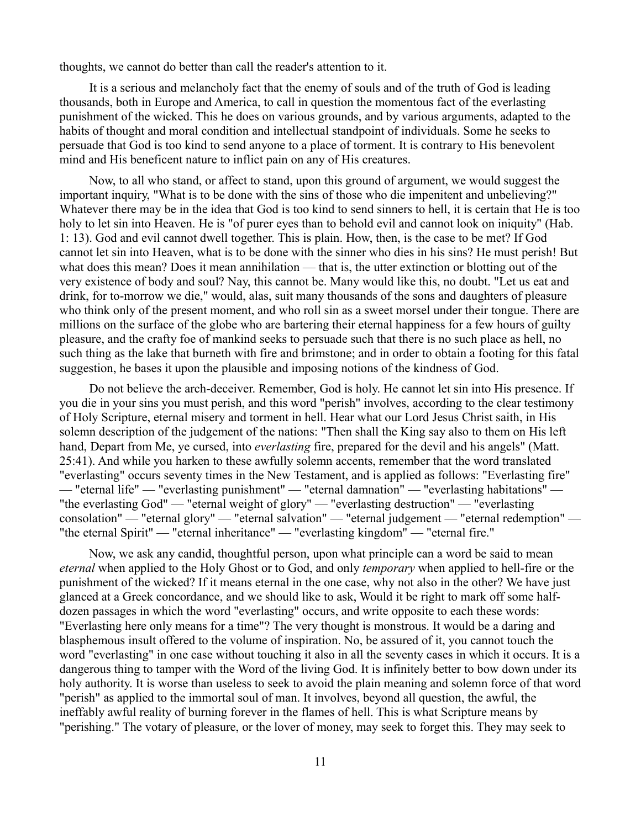thoughts, we cannot do better than call the reader's attention to it.

It is a serious and melancholy fact that the enemy of souls and of the truth of God is leading thousands, both in Europe and America, to call in question the momentous fact of the everlasting punishment of the wicked. This he does on various grounds, and by various arguments, adapted to the habits of thought and moral condition and intellectual standpoint of individuals. Some he seeks to persuade that God is too kind to send anyone to a place of torment. It is contrary to His benevolent mind and His beneficent nature to inflict pain on any of His creatures.

Now, to all who stand, or affect to stand, upon this ground of argument, we would suggest the important inquiry, "What is to be done with the sins of those who die impenitent and unbelieving?" Whatever there may be in the idea that God is too kind to send sinners to hell, it is certain that He is too holy to let sin into Heaven. He is "of purer eyes than to behold evil and cannot look on iniquity" (Hab. 1: 13). God and evil cannot dwell together. This is plain. How, then, is the case to be met? If God cannot let sin into Heaven, what is to be done with the sinner who dies in his sins? He must perish! But what does this mean? Does it mean annihilation — that is, the utter extinction or blotting out of the very existence of body and soul? Nay, this cannot be. Many would like this, no doubt. "Let us eat and drink, for to-morrow we die," would, alas, suit many thousands of the sons and daughters of pleasure who think only of the present moment, and who roll sin as a sweet morsel under their tongue. There are millions on the surface of the globe who are bartering their eternal happiness for a few hours of guilty pleasure, and the crafty foe of mankind seeks to persuade such that there is no such place as hell, no such thing as the lake that burneth with fire and brimstone; and in order to obtain a footing for this fatal suggestion, he bases it upon the plausible and imposing notions of the kindness of God.

Do not believe the arch-deceiver. Remember, God is holy. He cannot let sin into His presence. If you die in your sins you must perish, and this word "perish" involves, according to the clear testimony of Holy Scripture, eternal misery and torment in hell. Hear what our Lord Jesus Christ saith, in His solemn description of the judgement of the nations: "Then shall the King say also to them on His left hand, Depart from Me, ye cursed, into *everlasting* fire, prepared for the devil and his angels" (Matt. 25:41). And while you harken to these awfully solemn accents, remember that the word translated "everlasting" occurs seventy times in the New Testament, and is applied as follows: "Everlasting fire" — "eternal life" — "everlasting punishment" — "eternal damnation" — "everlasting habitations" — "the everlasting God" — "eternal weight of glory" — "everlasting destruction" — "everlasting consolation" — "eternal glory" — "eternal salvation" — "eternal judgement — "eternal redemption" — "the eternal Spirit" — "eternal inheritance" — "everlasting kingdom" — "eternal fire."

Now, we ask any candid, thoughtful person, upon what principle can a word be said to mean *eternal* when applied to the Holy Ghost or to God, and only *temporary* when applied to hell-fire or the punishment of the wicked? If it means eternal in the one case, why not also in the other? We have just glanced at a Greek concordance, and we should like to ask, Would it be right to mark off some halfdozen passages in which the word "everlasting" occurs, and write opposite to each these words: "Everlasting here only means for a time"? The very thought is monstrous. It would be a daring and blasphemous insult offered to the volume of inspiration. No, be assured of it, you cannot touch the word "everlasting" in one case without touching it also in all the seventy cases in which it occurs. It is a dangerous thing to tamper with the Word of the living God. It is infinitely better to bow down under its holy authority. It is worse than useless to seek to avoid the plain meaning and solemn force of that word "perish" as applied to the immortal soul of man. It involves, beyond all question, the awful, the ineffably awful reality of burning forever in the flames of hell. This is what Scripture means by "perishing." The votary of pleasure, or the lover of money, may seek to forget this. They may seek to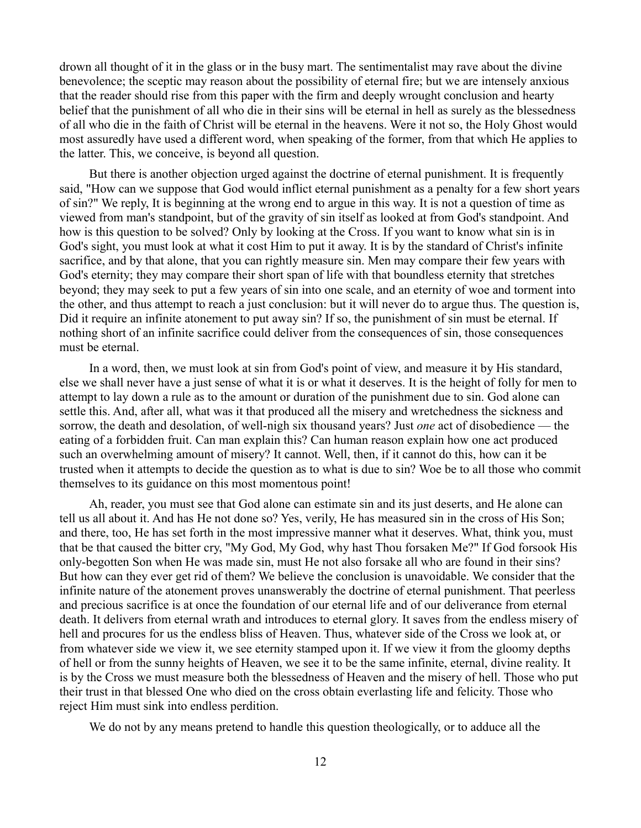drown all thought of it in the glass or in the busy mart. The sentimentalist may rave about the divine benevolence; the sceptic may reason about the possibility of eternal fire; but we are intensely anxious that the reader should rise from this paper with the firm and deeply wrought conclusion and hearty belief that the punishment of all who die in their sins will be eternal in hell as surely as the blessedness of all who die in the faith of Christ will be eternal in the heavens. Were it not so, the Holy Ghost would most assuredly have used a different word, when speaking of the former, from that which He applies to the latter. This, we conceive, is beyond all question.

But there is another objection urged against the doctrine of eternal punishment. It is frequently said, "How can we suppose that God would inflict eternal punishment as a penalty for a few short years of sin?" We reply, It is beginning at the wrong end to argue in this way. It is not a question of time as viewed from man's standpoint, but of the gravity of sin itself as looked at from God's standpoint. And how is this question to be solved? Only by looking at the Cross. If you want to know what sin is in God's sight, you must look at what it cost Him to put it away. It is by the standard of Christ's infinite sacrifice, and by that alone, that you can rightly measure sin. Men may compare their few years with God's eternity; they may compare their short span of life with that boundless eternity that stretches beyond; they may seek to put a few years of sin into one scale, and an eternity of woe and torment into the other, and thus attempt to reach a just conclusion: but it will never do to argue thus. The question is, Did it require an infinite atonement to put away sin? If so, the punishment of sin must be eternal. If nothing short of an infinite sacrifice could deliver from the consequences of sin, those consequences must be eternal.

In a word, then, we must look at sin from God's point of view, and measure it by His standard, else we shall never have a just sense of what it is or what it deserves. It is the height of folly for men to attempt to lay down a rule as to the amount or duration of the punishment due to sin. God alone can settle this. And, after all, what was it that produced all the misery and wretchedness the sickness and sorrow, the death and desolation, of well-nigh six thousand years? Just *one* act of disobedience — the eating of a forbidden fruit. Can man explain this? Can human reason explain how one act produced such an overwhelming amount of misery? It cannot. Well, then, if it cannot do this, how can it be trusted when it attempts to decide the question as to what is due to sin? Woe be to all those who commit themselves to its guidance on this most momentous point!

Ah, reader, you must see that God alone can estimate sin and its just deserts, and He alone can tell us all about it. And has He not done so? Yes, verily, He has measured sin in the cross of His Son; and there, too, He has set forth in the most impressive manner what it deserves. What, think you, must that be that caused the bitter cry, "My God, My God, why hast Thou forsaken Me?" If God forsook His only-begotten Son when He was made sin, must He not also forsake all who are found in their sins? But how can they ever get rid of them? We believe the conclusion is unavoidable. We consider that the infinite nature of the atonement proves unanswerably the doctrine of eternal punishment. That peerless and precious sacrifice is at once the foundation of our eternal life and of our deliverance from eternal death. It delivers from eternal wrath and introduces to eternal glory. It saves from the endless misery of hell and procures for us the endless bliss of Heaven. Thus, whatever side of the Cross we look at, or from whatever side we view it, we see eternity stamped upon it. If we view it from the gloomy depths of hell or from the sunny heights of Heaven, we see it to be the same infinite, eternal, divine reality. It is by the Cross we must measure both the blessedness of Heaven and the misery of hell. Those who put their trust in that blessed One who died on the cross obtain everlasting life and felicity. Those who reject Him must sink into endless perdition.

We do not by any means pretend to handle this question theologically, or to adduce all the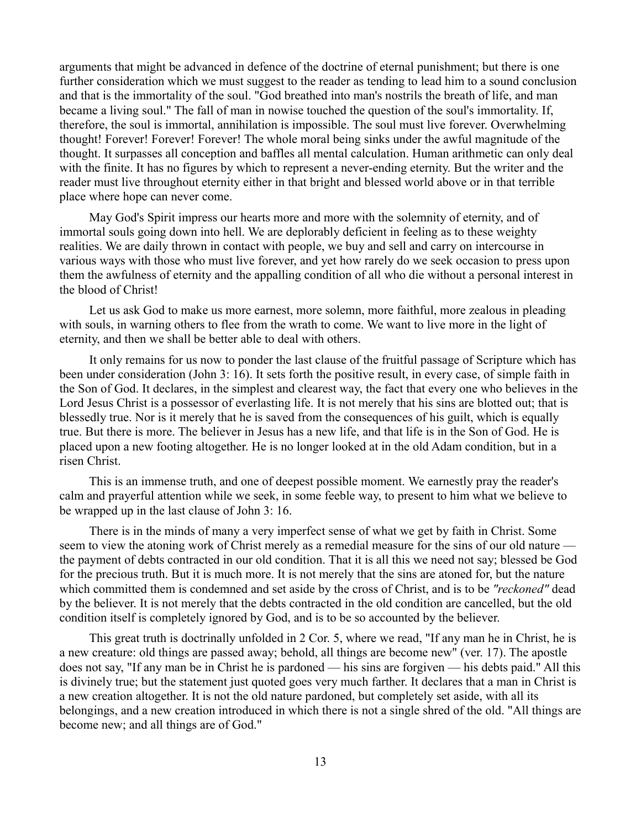arguments that might be advanced in defence of the doctrine of eternal punishment; but there is one further consideration which we must suggest to the reader as tending to lead him to a sound conclusion and that is the immortality of the soul. "God breathed into man's nostrils the breath of life, and man became a living soul." The fall of man in nowise touched the question of the soul's immortality. If, therefore, the soul is immortal, annihilation is impossible. The soul must live forever. Overwhelming thought! Forever! Forever! Forever! The whole moral being sinks under the awful magnitude of the thought. It surpasses all conception and baffles all mental calculation. Human arithmetic can only deal with the finite. It has no figures by which to represent a never-ending eternity. But the writer and the reader must live throughout eternity either in that bright and blessed world above or in that terrible place where hope can never come.

May God's Spirit impress our hearts more and more with the solemnity of eternity, and of immortal souls going down into hell. We are deplorably deficient in feeling as to these weighty realities. We are daily thrown in contact with people, we buy and sell and carry on intercourse in various ways with those who must live forever, and yet how rarely do we seek occasion to press upon them the awfulness of eternity and the appalling condition of all who die without a personal interest in the blood of Christ!

Let us ask God to make us more earnest, more solemn, more faithful, more zealous in pleading with souls, in warning others to flee from the wrath to come. We want to live more in the light of eternity, and then we shall be better able to deal with others.

It only remains for us now to ponder the last clause of the fruitful passage of Scripture which has been under consideration (John 3: 16). It sets forth the positive result, in every case, of simple faith in the Son of God. It declares, in the simplest and clearest way, the fact that every one who believes in the Lord Jesus Christ is a possessor of everlasting life. It is not merely that his sins are blotted out; that is blessedly true. Nor is it merely that he is saved from the consequences of his guilt, which is equally true. But there is more. The believer in Jesus has a new life, and that life is in the Son of God. He is placed upon a new footing altogether. He is no longer looked at in the old Adam condition, but in a risen Christ.

This is an immense truth, and one of deepest possible moment. We earnestly pray the reader's calm and prayerful attention while we seek, in some feeble way, to present to him what we believe to be wrapped up in the last clause of John 3: 16.

There is in the minds of many a very imperfect sense of what we get by faith in Christ. Some seem to view the atoning work of Christ merely as a remedial measure for the sins of our old nature the payment of debts contracted in our old condition. That it is all this we need not say; blessed be God for the precious truth. But it is much more. It is not merely that the sins are atoned for, but the nature which committed them is condemned and set aside by the cross of Christ, and is to be *"reckoned"* dead by the believer. It is not merely that the debts contracted in the old condition are cancelled, but the old condition itself is completely ignored by God, and is to be so accounted by the believer.

This great truth is doctrinally unfolded in 2 Cor. 5, where we read, "If any man he in Christ, he is a new creature: old things are passed away; behold, all things are become new" (ver. 17). The apostle does not say, "If any man be in Christ he is pardoned — his sins are forgiven — his debts paid." All this is divinely true; but the statement just quoted goes very much farther. It declares that a man in Christ is a new creation altogether. It is not the old nature pardoned, but completely set aside, with all its belongings, and a new creation introduced in which there is not a single shred of the old. "All things are become new; and all things are of God."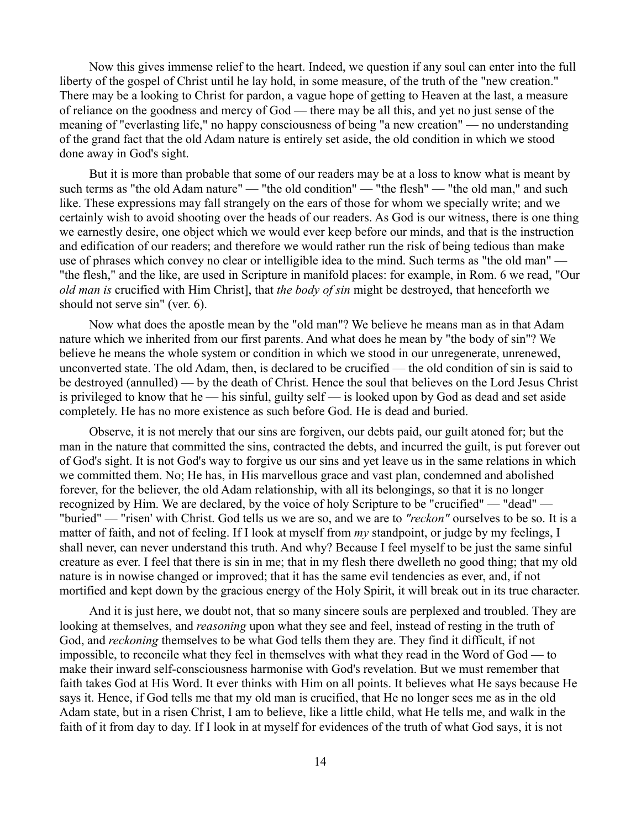Now this gives immense relief to the heart. Indeed, we question if any soul can enter into the full liberty of the gospel of Christ until he lay hold, in some measure, of the truth of the "new creation." There may be a looking to Christ for pardon, a vague hope of getting to Heaven at the last, a measure of reliance on the goodness and mercy of God — there may be all this, and yet no just sense of the meaning of "everlasting life," no happy consciousness of being "a new creation" — no understanding of the grand fact that the old Adam nature is entirely set aside, the old condition in which we stood done away in God's sight.

But it is more than probable that some of our readers may be at a loss to know what is meant by such terms as "the old Adam nature" — "the old condition" — "the flesh" — "the old man," and such like. These expressions may fall strangely on the ears of those for whom we specially write; and we certainly wish to avoid shooting over the heads of our readers. As God is our witness, there is one thing we earnestly desire, one object which we would ever keep before our minds, and that is the instruction and edification of our readers; and therefore we would rather run the risk of being tedious than make use of phrases which convey no clear or intelligible idea to the mind. Such terms as "the old man" — "the flesh," and the like, are used in Scripture in manifold places: for example, in Rom. 6 we read, "Our *old man is* crucified with Him Christ], that *the body of sin* might be destroyed, that henceforth we should not serve sin" (ver. 6).

Now what does the apostle mean by the "old man"? We believe he means man as in that Adam nature which we inherited from our first parents. And what does he mean by "the body of sin"? We believe he means the whole system or condition in which we stood in our unregenerate, unrenewed, unconverted state. The old Adam, then, is declared to be crucified — the old condition of sin is said to be destroyed (annulled) — by the death of Christ. Hence the soul that believes on the Lord Jesus Christ is privileged to know that he — his sinful, guilty self — is looked upon by God as dead and set aside completely. He has no more existence as such before God. He is dead and buried.

Observe, it is not merely that our sins are forgiven, our debts paid, our guilt atoned for; but the man in the nature that committed the sins, contracted the debts, and incurred the guilt, is put forever out of God's sight. It is not God's way to forgive us our sins and yet leave us in the same relations in which we committed them. No; He has, in His marvellous grace and vast plan, condemned and abolished forever, for the believer, the old Adam relationship, with all its belongings, so that it is no longer recognized by Him. We are declared, by the voice of holy Scripture to be "crucified" — "dead" — "buried" — "risen' with Christ. God tells us we are so, and we are to *"reckon"* ourselves to be so. It is a matter of faith, and not of feeling. If I look at myself from *my* standpoint, or judge by my feelings, I shall never, can never understand this truth. And why? Because I feel myself to be just the same sinful creature as ever. I feel that there is sin in me; that in my flesh there dwelleth no good thing; that my old nature is in nowise changed or improved; that it has the same evil tendencies as ever, and, if not mortified and kept down by the gracious energy of the Holy Spirit, it will break out in its true character.

And it is just here, we doubt not, that so many sincere souls are perplexed and troubled. They are looking at themselves, and *reasoning* upon what they see and feel, instead of resting in the truth of God, and *reckoning* themselves to be what God tells them they are. They find it difficult, if not impossible, to reconcile what they feel in themselves with what they read in the Word of God — to make their inward self-consciousness harmonise with God's revelation. But we must remember that faith takes God at His Word. It ever thinks with Him on all points. It believes what He says because He says it. Hence, if God tells me that my old man is crucified, that He no longer sees me as in the old Adam state, but in a risen Christ, I am to believe, like a little child, what He tells me, and walk in the faith of it from day to day. If I look in at myself for evidences of the truth of what God says, it is not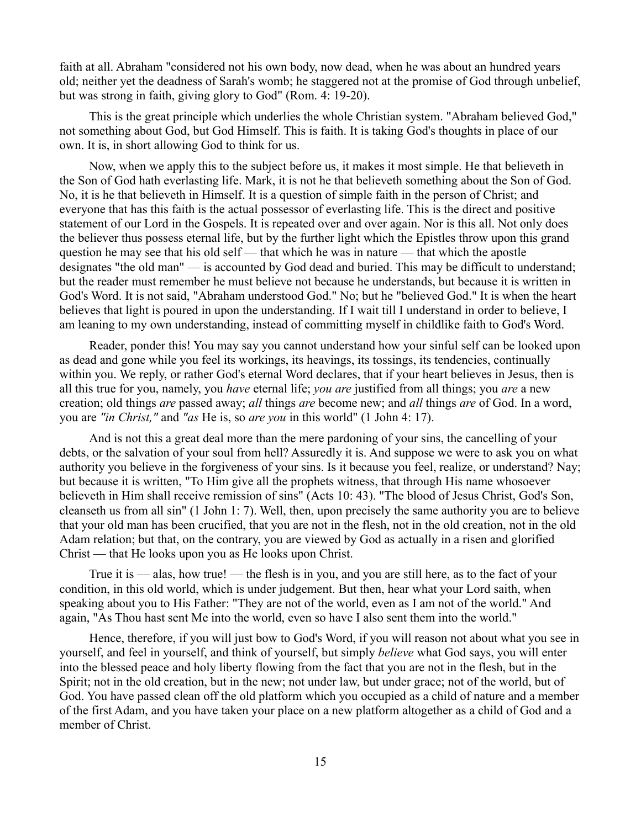faith at all. Abraham "considered not his own body, now dead, when he was about an hundred years old; neither yet the deadness of Sarah's womb; he staggered not at the promise of God through unbelief, but was strong in faith, giving glory to God" (Rom. 4: 19-20).

This is the great principle which underlies the whole Christian system. "Abraham believed God," not something about God, but God Himself. This is faith. It is taking God's thoughts in place of our own. It is, in short allowing God to think for us.

Now, when we apply this to the subject before us, it makes it most simple. He that believeth in the Son of God hath everlasting life. Mark, it is not he that believeth something about the Son of God. No, it is he that believeth in Himself. It is a question of simple faith in the person of Christ; and everyone that has this faith is the actual possessor of everlasting life. This is the direct and positive statement of our Lord in the Gospels. It is repeated over and over again. Nor is this all. Not only does the believer thus possess eternal life, but by the further light which the Epistles throw upon this grand question he may see that his old self — that which he was in nature — that which the apostle designates "the old man" — is accounted by God dead and buried. This may be difficult to understand; but the reader must remember he must believe not because he understands, but because it is written in God's Word. It is not said, "Abraham understood God." No; but he "believed God." It is when the heart believes that light is poured in upon the understanding. If I wait till I understand in order to believe, I am leaning to my own understanding, instead of committing myself in childlike faith to God's Word.

Reader, ponder this! You may say you cannot understand how your sinful self can be looked upon as dead and gone while you feel its workings, its heavings, its tossings, its tendencies, continually within you. We reply, or rather God's eternal Word declares, that if your heart believes in Jesus, then is all this true for you, namely, you *have* eternal life; *you are* justified from all things; you *are* a new creation; old things *are* passed away; *all* things *are* become new; and *all* things *are* of God. In a word, you are *"in Christ,"* and *"as* He is, so *are you* in this world" (1 John 4: 17).

And is not this a great deal more than the mere pardoning of your sins, the cancelling of your debts, or the salvation of your soul from hell? Assuredly it is. And suppose we were to ask you on what authority you believe in the forgiveness of your sins. Is it because you feel, realize, or understand? Nay; but because it is written, "To Him give all the prophets witness, that through His name whosoever believeth in Him shall receive remission of sins" (Acts 10: 43). "The blood of Jesus Christ, God's Son, cleanseth us from all sin" (1 John 1: 7). Well, then, upon precisely the same authority you are to believe that your old man has been crucified, that you are not in the flesh, not in the old creation, not in the old Adam relation; but that, on the contrary, you are viewed by God as actually in a risen and glorified Christ — that He looks upon you as He looks upon Christ.

True it is — alas, how true! — the flesh is in you, and you are still here, as to the fact of your condition, in this old world, which is under judgement. But then, hear what your Lord saith, when speaking about you to His Father: "They are not of the world, even as I am not of the world." And again, "As Thou hast sent Me into the world, even so have I also sent them into the world."

Hence, therefore, if you will just bow to God's Word, if you will reason not about what you see in yourself, and feel in yourself, and think of yourself, but simply *believe* what God says, you will enter into the blessed peace and holy liberty flowing from the fact that you are not in the flesh, but in the Spirit; not in the old creation, but in the new; not under law, but under grace; not of the world, but of God. You have passed clean off the old platform which you occupied as a child of nature and a member of the first Adam, and you have taken your place on a new platform altogether as a child of God and a member of Christ.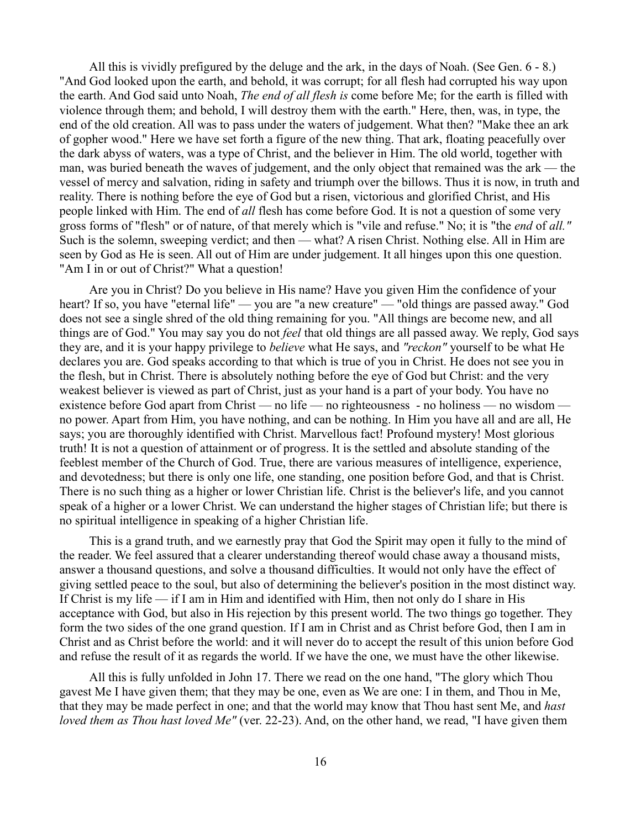All this is vividly prefigured by the deluge and the ark, in the days of Noah. (See Gen. 6 - 8.) "And God looked upon the earth, and behold, it was corrupt; for all flesh had corrupted his way upon the earth. And God said unto Noah, *The end of all flesh is* come before Me; for the earth is filled with violence through them; and behold, I will destroy them with the earth." Here, then, was, in type, the end of the old creation. All was to pass under the waters of judgement. What then? "Make thee an ark of gopher wood." Here we have set forth a figure of the new thing. That ark, floating peacefully over the dark abyss of waters, was a type of Christ, and the believer in Him. The old world, together with man, was buried beneath the waves of judgement, and the only object that remained was the ark — the vessel of mercy and salvation, riding in safety and triumph over the billows. Thus it is now, in truth and reality. There is nothing before the eye of God but a risen, victorious and glorified Christ, and His people linked with Him. The end of *all* flesh has come before God. It is not a question of some very gross forms of "flesh" or of nature, of that merely which is "vile and refuse." No; it is "the *end* of *all."* Such is the solemn, sweeping verdict; and then — what? A risen Christ. Nothing else. All in Him are seen by God as He is seen. All out of Him are under judgement. It all hinges upon this one question. "Am I in or out of Christ?" What a question!

Are you in Christ? Do you believe in His name? Have you given Him the confidence of your heart? If so, you have "eternal life" — you are "a new creature" — "old things are passed away." God does not see a single shred of the old thing remaining for you. "All things are become new, and all things are of God." You may say you do not *feel* that old things are all passed away. We reply, God says they are, and it is your happy privilege to *believe* what He says, and *"reckon"* yourself to be what He declares you are. God speaks according to that which is true of you in Christ. He does not see you in the flesh, but in Christ. There is absolutely nothing before the eye of God but Christ: and the very weakest believer is viewed as part of Christ, just as your hand is a part of your body. You have no existence before God apart from Christ — no life — no righteousness - no holiness — no wisdom no power. Apart from Him, you have nothing, and can be nothing. In Him you have all and are all, He says; you are thoroughly identified with Christ. Marvellous fact! Profound mystery! Most glorious truth! It is not a question of attainment or of progress. It is the settled and absolute standing of the feeblest member of the Church of God. True, there are various measures of intelligence, experience, and devotedness; but there is only one life, one standing, one position before God, and that is Christ. There is no such thing as a higher or lower Christian life. Christ is the believer's life, and you cannot speak of a higher or a lower Christ. We can understand the higher stages of Christian life; but there is no spiritual intelligence in speaking of a higher Christian life.

This is a grand truth, and we earnestly pray that God the Spirit may open it fully to the mind of the reader. We feel assured that a clearer understanding thereof would chase away a thousand mists, answer a thousand questions, and solve a thousand difficulties. It would not only have the effect of giving settled peace to the soul, but also of determining the believer's position in the most distinct way. If Christ is my life — if I am in Him and identified with Him, then not only do I share in His acceptance with God, but also in His rejection by this present world. The two things go together. They form the two sides of the one grand question. If I am in Christ and as Christ before God, then I am in Christ and as Christ before the world: and it will never do to accept the result of this union before God and refuse the result of it as regards the world. If we have the one, we must have the other likewise.

All this is fully unfolded in John 17. There we read on the one hand, "The glory which Thou gavest Me I have given them; that they may be one, even as We are one: I in them, and Thou in Me, that they may be made perfect in one; and that the world may know that Thou hast sent Me, and *hast loved them as Thou hast loved Me"* (ver. 22-23). And, on the other hand, we read, "I have given them